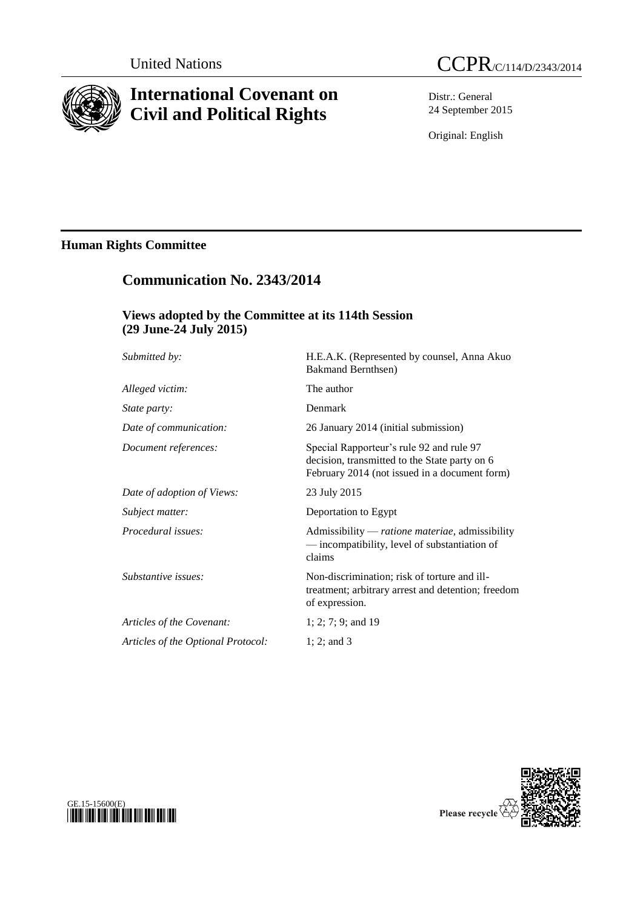

# **International Covenant on Civil and Political Rights**

Distr.: General 24 September 2015

Original: English

# **Human Rights Committee**

# **Communication No. 2343/2014**

## **Views adopted by the Committee at its 114th Session (29 June-24 July 2015)**

| Submitted by:                      | H.E.A.K. (Represented by counsel, Anna Akuo<br><b>Bakmand Bernthsen</b> )                                                                  |
|------------------------------------|--------------------------------------------------------------------------------------------------------------------------------------------|
| Alleged victim:                    | The author                                                                                                                                 |
| State party:                       | Denmark                                                                                                                                    |
| Date of communication:             | 26 January 2014 (initial submission)                                                                                                       |
| Document references:               | Special Rapporteur's rule 92 and rule 97<br>decision, transmitted to the State party on 6<br>February 2014 (not issued in a document form) |
| Date of adoption of Views:         | 23 July 2015                                                                                                                               |
| Subject matter:                    | Deportation to Egypt                                                                                                                       |
| Procedural issues:                 | Admissibility — ratione materiae, admissibility<br>— incompatibility, level of substantiation of<br>claims                                 |
| Substantive issues:                | Non-discrimination; risk of torture and ill-<br>treatment; arbitrary arrest and detention; freedom<br>of expression.                       |
| Articles of the Covenant:          | $1; 2; 7; 9;$ and 19                                                                                                                       |
| Articles of the Optional Protocol: | 1; 2; and $3$                                                                                                                              |
|                                    |                                                                                                                                            |



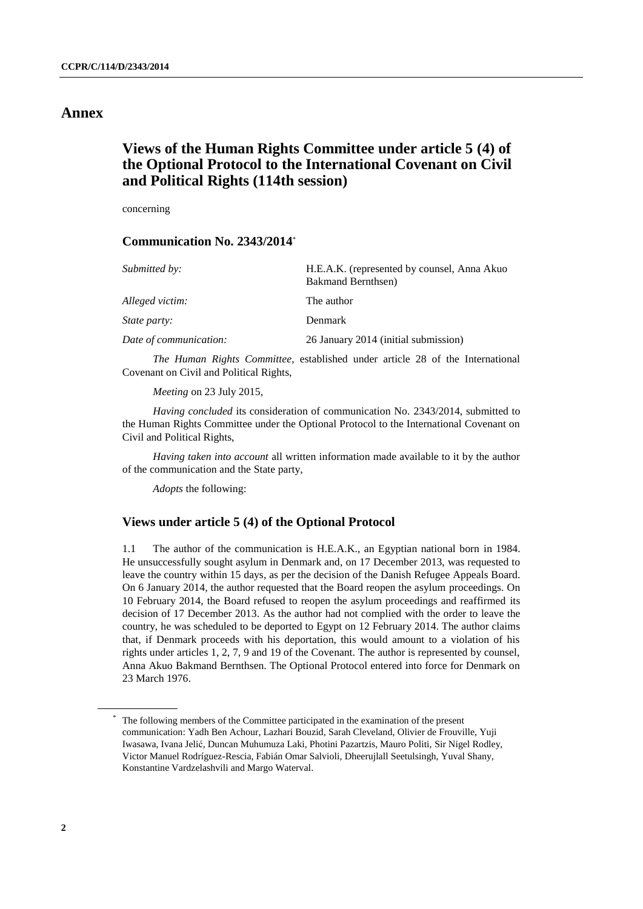### **Annex**

# **Views of the Human Rights Committee under article 5 (4) of the Optional Protocol to the International Covenant on Civil and Political Rights (114th session)**

concerning

### **Communication No. 2343/2014** \*

| Submitted by:          | H.E.A.K. (represented by counsel, Anna Akuo<br><b>Bakmand Bernthsen</b> ) |
|------------------------|---------------------------------------------------------------------------|
| Alleged victim:        | The author                                                                |
| <i>State party:</i>    | Denmark                                                                   |
| Date of communication: | 26 January 2014 (initial submission)                                      |

*The Human Rights Committee*, established under article 28 of the International Covenant on Civil and Political Rights,

*Meeting* on 23 July 2015,

*Having concluded* its consideration of communication No. 2343/2014, submitted to the Human Rights Committee under the Optional Protocol to the International Covenant on Civil and Political Rights,

*Having taken into account* all written information made available to it by the author of the communication and the State party,

*Adopts* the following:

### **Views under article 5 (4) of the Optional Protocol**

1.1 The author of the communication is H.E.A.K., an Egyptian national born in 1984. He unsuccessfully sought asylum in Denmark and, on 17 December 2013, was requested to leave the country within 15 days, as per the decision of the Danish Refugee Appeals Board. On 6 January 2014, the author requested that the Board reopen the asylum proceedings. On 10 February 2014, the Board refused to reopen the asylum proceedings and reaffirmed its decision of 17 December 2013. As the author had not complied with the order to leave the country, he was scheduled to be deported to Egypt on 12 February 2014. The author claims that, if Denmark proceeds with his deportation, this would amount to a violation of his rights under articles 1, 2, 7, 9 and 19 of the Covenant. The author is represented by counsel, Anna Akuo Bakmand Bernthsen. The Optional Protocol entered into force for Denmark on 23 March 1976.

The following members of the Committee participated in the examination of the present communication: Yadh Ben Achour, Lazhari Bouzid, Sarah Cleveland, Olivier de Frouville, Yuji Iwasawa, Ivana Jelić, Duncan Muhumuza Laki, Photini Pazartzis, Mauro Politi, Sir Nigel Rodley, Victor Manuel Rodríguez-Rescia, Fabián Omar Salvioli, Dheerujlall Seetulsingh, Yuval Shany, Konstantine Vardzelashvili and Margo Waterval.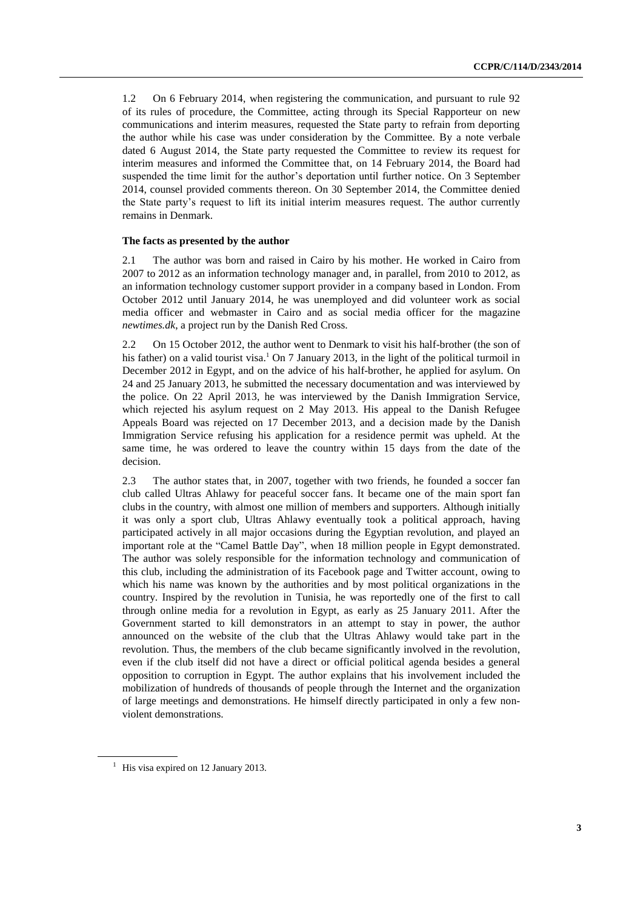1.2 On 6 February 2014, when registering the communication, and pursuant to rule 92 of its rules of procedure, the Committee, acting through its Special Rapporteur on new communications and interim measures, requested the State party to refrain from deporting the author while his case was under consideration by the Committee. By a note verbale dated 6 August 2014, the State party requested the Committee to review its request for interim measures and informed the Committee that, on 14 February 2014, the Board had suspended the time limit for the author's deportation until further notice. On 3 September 2014, counsel provided comments thereon. On 30 September 2014, the Committee denied the State party's request to lift its initial interim measures request. The author currently remains in Denmark.

#### **The facts as presented by the author**

2.1 The author was born and raised in Cairo by his mother. He worked in Cairo from 2007 to 2012 as an information technology manager and, in parallel, from 2010 to 2012, as an information technology customer support provider in a company based in London. From October 2012 until January 2014, he was unemployed and did volunteer work as social media officer and webmaster in Cairo and as social media officer for the magazine *newtimes.dk*, a project run by the Danish Red Cross.

2.2 On 15 October 2012, the author went to Denmark to visit his half-brother (the son of his father) on a valid tourist visa.<sup>1</sup> On 7 January 2013, in the light of the political turmoil in December 2012 in Egypt, and on the advice of his half-brother, he applied for asylum. On 24 and 25 January 2013, he submitted the necessary documentation and was interviewed by the police. On 22 April 2013, he was interviewed by the Danish Immigration Service, which rejected his asylum request on 2 May 2013. His appeal to the Danish Refugee Appeals Board was rejected on 17 December 2013, and a decision made by the Danish Immigration Service refusing his application for a residence permit was upheld. At the same time, he was ordered to leave the country within 15 days from the date of the decision.

2.3 The author states that, in 2007, together with two friends, he founded a soccer fan club called Ultras Ahlawy for peaceful soccer fans. It became one of the main sport fan clubs in the country, with almost one million of members and supporters. Although initially it was only a sport club, Ultras Ahlawy eventually took a political approach, having participated actively in all major occasions during the Egyptian revolution, and played an important role at the "Camel Battle Day", when 18 million people in Egypt demonstrated. The author was solely responsible for the information technology and communication of this club, including the administration of its Facebook page and Twitter account, owing to which his name was known by the authorities and by most political organizations in the country. Inspired by the revolution in Tunisia, he was reportedly one of the first to call through online media for a revolution in Egypt, as early as 25 January 2011. After the Government started to kill demonstrators in an attempt to stay in power, the author announced on the website of the club that the Ultras Ahlawy would take part in the revolution. Thus, the members of the club became significantly involved in the revolution, even if the club itself did not have a direct or official political agenda besides a general opposition to corruption in Egypt. The author explains that his involvement included the mobilization of hundreds of thousands of people through the Internet and the organization of large meetings and demonstrations. He himself directly participated in only a few nonviolent demonstrations.

<sup>&</sup>lt;sup>1</sup> His visa expired on 12 January 2013.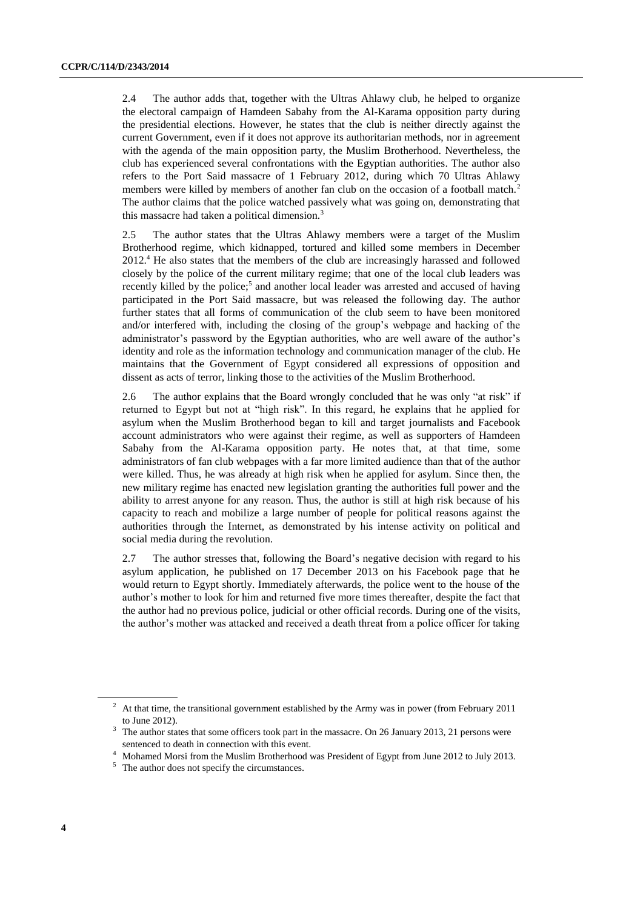2.4 The author adds that, together with the Ultras Ahlawy club, he helped to organize the electoral campaign of Hamdeen Sabahy from the Al-Karama opposition party during the presidential elections. However, he states that the club is neither directly against the current Government, even if it does not approve its authoritarian methods, nor in agreement with the agenda of the main opposition party, the Muslim Brotherhood. Nevertheless, the club has experienced several confrontations with the Egyptian authorities. The author also refers to the Port Said massacre of 1 February 2012, during which 70 Ultras Ahlawy members were killed by members of another fan club on the occasion of a football match.<sup>2</sup> The author claims that the police watched passively what was going on, demonstrating that this massacre had taken a political dimension. $3$ 

2.5 The author states that the Ultras Ahlawy members were a target of the Muslim Brotherhood regime, which kidnapped, tortured and killed some members in December 2012.<sup>4</sup> He also states that the members of the club are increasingly harassed and followed closely by the police of the current military regime; that one of the local club leaders was recently killed by the police;<sup>5</sup> and another local leader was arrested and accused of having participated in the Port Said massacre, but was released the following day. The author further states that all forms of communication of the club seem to have been monitored and/or interfered with, including the closing of the group's webpage and hacking of the administrator's password by the Egyptian authorities, who are well aware of the author's identity and role as the information technology and communication manager of the club. He maintains that the Government of Egypt considered all expressions of opposition and dissent as acts of terror, linking those to the activities of the Muslim Brotherhood.

2.6 The author explains that the Board wrongly concluded that he was only "at risk" if returned to Egypt but not at "high risk". In this regard, he explains that he applied for asylum when the Muslim Brotherhood began to kill and target journalists and Facebook account administrators who were against their regime, as well as supporters of Hamdeen Sabahy from the Al-Karama opposition party. He notes that, at that time, some administrators of fan club webpages with a far more limited audience than that of the author were killed. Thus, he was already at high risk when he applied for asylum. Since then, the new military regime has enacted new legislation granting the authorities full power and the ability to arrest anyone for any reason. Thus, the author is still at high risk because of his capacity to reach and mobilize a large number of people for political reasons against the authorities through the Internet, as demonstrated by his intense activity on political and social media during the revolution.

2.7 The author stresses that, following the Board's negative decision with regard to his asylum application, he published on 17 December 2013 on his Facebook page that he would return to Egypt shortly. Immediately afterwards, the police went to the house of the author's mother to look for him and returned five more times thereafter, despite the fact that the author had no previous police, judicial or other official records. During one of the visits, the author's mother was attacked and received a death threat from a police officer for taking

<sup>&</sup>lt;sup>2</sup> At that time, the transitional government established by the Army was in power (from February 2011 to June 2012).

<sup>&</sup>lt;sup>3</sup> The author states that some officers took part in the massacre. On 26 January 2013, 21 persons were sentenced to death in connection with this event.

<sup>4</sup> Mohamed Morsi from the Muslim Brotherhood was President of Egypt from June 2012 to July 2013.

<sup>&</sup>lt;sup>5</sup> The author does not specify the circumstances.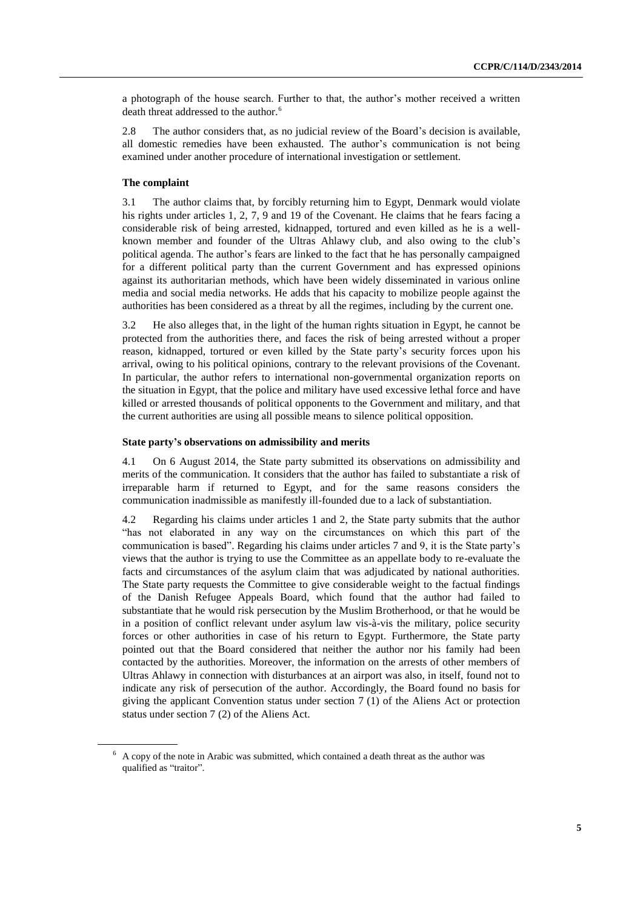a photograph of the house search. Further to that, the author's mother received a written death threat addressed to the author.<sup>6</sup>

2.8 The author considers that, as no judicial review of the Board's decision is available, all domestic remedies have been exhausted. The author's communication is not being examined under another procedure of international investigation or settlement.

#### **The complaint**

3.1 The author claims that, by forcibly returning him to Egypt, Denmark would violate his rights under articles 1, 2, 7, 9 and 19 of the Covenant. He claims that he fears facing a considerable risk of being arrested, kidnapped, tortured and even killed as he is a wellknown member and founder of the Ultras Ahlawy club, and also owing to the club's political agenda. The author's fears are linked to the fact that he has personally campaigned for a different political party than the current Government and has expressed opinions against its authoritarian methods, which have been widely disseminated in various online media and social media networks. He adds that his capacity to mobilize people against the authorities has been considered as a threat by all the regimes, including by the current one.

3.2 He also alleges that, in the light of the human rights situation in Egypt, he cannot be protected from the authorities there, and faces the risk of being arrested without a proper reason, kidnapped, tortured or even killed by the State party's security forces upon his arrival, owing to his political opinions, contrary to the relevant provisions of the Covenant. In particular, the author refers to international non-governmental organization reports on the situation in Egypt, that the police and military have used excessive lethal force and have killed or arrested thousands of political opponents to the Government and military, and that the current authorities are using all possible means to silence political opposition.

#### **State party's observations on admissibility and merits**

4.1 On 6 August 2014, the State party submitted its observations on admissibility and merits of the communication. It considers that the author has failed to substantiate a risk of irreparable harm if returned to Egypt, and for the same reasons considers the communication inadmissible as manifestly ill-founded due to a lack of substantiation.

4.2 Regarding his claims under articles 1 and 2, the State party submits that the author "has not elaborated in any way on the circumstances on which this part of the communication is based". Regarding his claims under articles 7 and 9, it is the State party's views that the author is trying to use the Committee as an appellate body to re-evaluate the facts and circumstances of the asylum claim that was adjudicated by national authorities. The State party requests the Committee to give considerable weight to the factual findings of the Danish Refugee Appeals Board, which found that the author had failed to substantiate that he would risk persecution by the Muslim Brotherhood, or that he would be in a position of conflict relevant under asylum law vis-à-vis the military, police security forces or other authorities in case of his return to Egypt. Furthermore, the State party pointed out that the Board considered that neither the author nor his family had been contacted by the authorities. Moreover, the information on the arrests of other members of Ultras Ahlawy in connection with disturbances at an airport was also, in itself, found not to indicate any risk of persecution of the author. Accordingly, the Board found no basis for giving the applicant Convention status under section 7 (1) of the Aliens Act or protection status under section 7 (2) of the Aliens Act.

 $6$  A copy of the note in Arabic was submitted, which contained a death threat as the author was qualified as "traitor".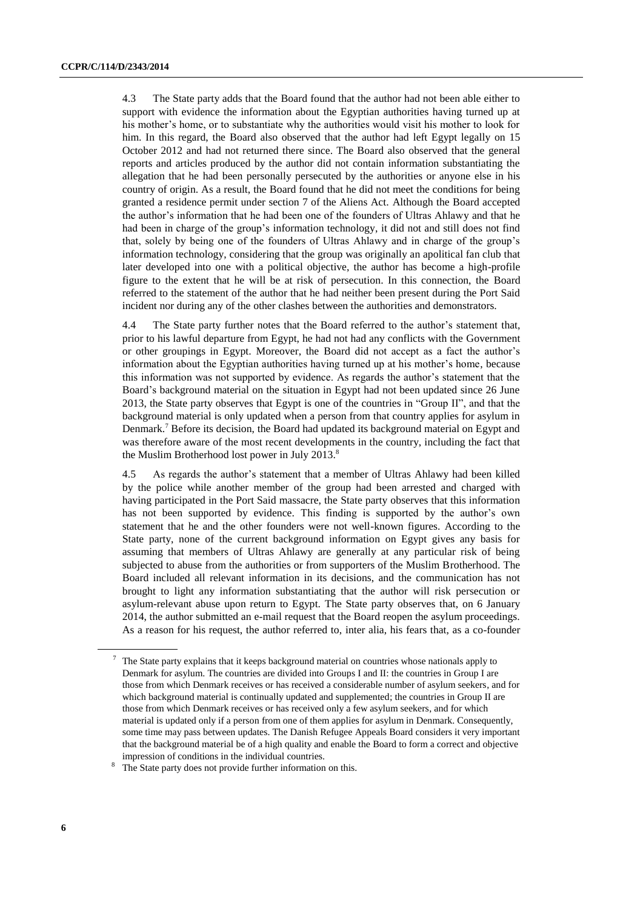4.3 The State party adds that the Board found that the author had not been able either to support with evidence the information about the Egyptian authorities having turned up at his mother's home, or to substantiate why the authorities would visit his mother to look for him. In this regard, the Board also observed that the author had left Egypt legally on 15 October 2012 and had not returned there since. The Board also observed that the general reports and articles produced by the author did not contain information substantiating the allegation that he had been personally persecuted by the authorities or anyone else in his country of origin. As a result, the Board found that he did not meet the conditions for being granted a residence permit under section 7 of the Aliens Act. Although the Board accepted the author's information that he had been one of the founders of Ultras Ahlawy and that he had been in charge of the group's information technology, it did not and still does not find that, solely by being one of the founders of Ultras Ahlawy and in charge of the group's information technology, considering that the group was originally an apolitical fan club that later developed into one with a political objective, the author has become a high-profile figure to the extent that he will be at risk of persecution. In this connection, the Board referred to the statement of the author that he had neither been present during the Port Said incident nor during any of the other clashes between the authorities and demonstrators.

4.4 The State party further notes that the Board referred to the author's statement that, prior to his lawful departure from Egypt, he had not had any conflicts with the Government or other groupings in Egypt. Moreover, the Board did not accept as a fact the author's information about the Egyptian authorities having turned up at his mother's home, because this information was not supported by evidence. As regards the author's statement that the Board's background material on the situation in Egypt had not been updated since 26 June 2013, the State party observes that Egypt is one of the countries in "Group II", and that the background material is only updated when a person from that country applies for asylum in Denmark.<sup>7</sup> Before its decision, the Board had updated its background material on Egypt and was therefore aware of the most recent developments in the country, including the fact that the Muslim Brotherhood lost power in July 2013.<sup>8</sup>

4.5 As regards the author's statement that a member of Ultras Ahlawy had been killed by the police while another member of the group had been arrested and charged with having participated in the Port Said massacre, the State party observes that this information has not been supported by evidence. This finding is supported by the author's own statement that he and the other founders were not well-known figures. According to the State party, none of the current background information on Egypt gives any basis for assuming that members of Ultras Ahlawy are generally at any particular risk of being subjected to abuse from the authorities or from supporters of the Muslim Brotherhood. The Board included all relevant information in its decisions, and the communication has not brought to light any information substantiating that the author will risk persecution or asylum-relevant abuse upon return to Egypt. The State party observes that, on 6 January 2014, the author submitted an e-mail request that the Board reopen the asylum proceedings. As a reason for his request, the author referred to, inter alia, his fears that, as a co-founder

<sup>7</sup> The State party explains that it keeps background material on countries whose nationals apply to Denmark for asylum. The countries are divided into Groups I and II: the countries in Group I are those from which Denmark receives or has received a considerable number of asylum seekers, and for which background material is continually updated and supplemented; the countries in Group II are those from which Denmark receives or has received only a few asylum seekers, and for which material is updated only if a person from one of them applies for asylum in Denmark. Consequently, some time may pass between updates. The Danish Refugee Appeals Board considers it very important that the background material be of a high quality and enable the Board to form a correct and objective impression of conditions in the individual countries.

<sup>&</sup>lt;sup>8</sup> The State party does not provide further information on this.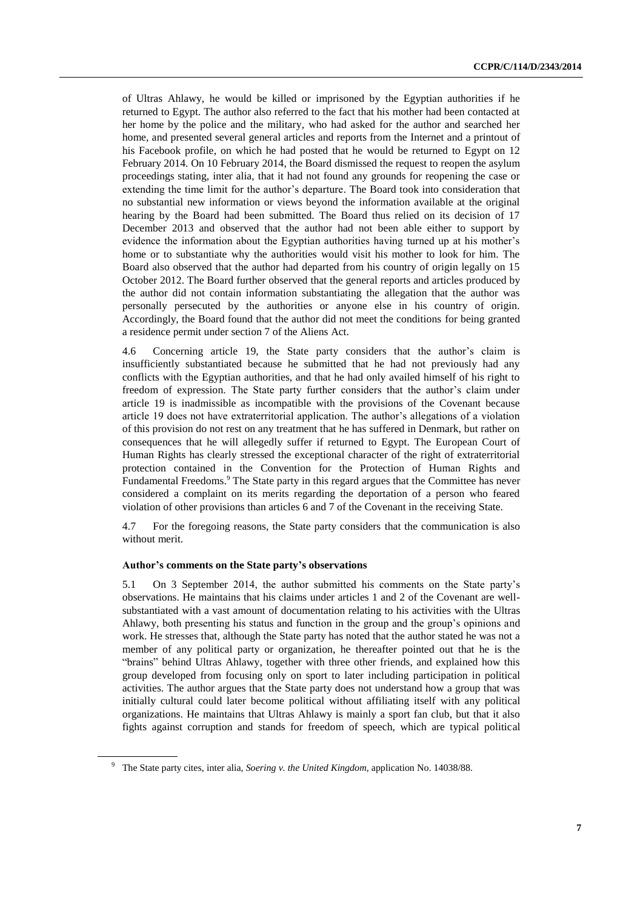of Ultras Ahlawy, he would be killed or imprisoned by the Egyptian authorities if he returned to Egypt. The author also referred to the fact that his mother had been contacted at her home by the police and the military, who had asked for the author and searched her home, and presented several general articles and reports from the Internet and a printout of his Facebook profile, on which he had posted that he would be returned to Egypt on 12 February 2014. On 10 February 2014, the Board dismissed the request to reopen the asylum proceedings stating, inter alia, that it had not found any grounds for reopening the case or extending the time limit for the author's departure. The Board took into consideration that no substantial new information or views beyond the information available at the original hearing by the Board had been submitted. The Board thus relied on its decision of 17 December 2013 and observed that the author had not been able either to support by evidence the information about the Egyptian authorities having turned up at his mother's home or to substantiate why the authorities would visit his mother to look for him. The Board also observed that the author had departed from his country of origin legally on 15 October 2012. The Board further observed that the general reports and articles produced by the author did not contain information substantiating the allegation that the author was personally persecuted by the authorities or anyone else in his country of origin. Accordingly, the Board found that the author did not meet the conditions for being granted a residence permit under section 7 of the Aliens Act.

4.6 Concerning article 19, the State party considers that the author's claim is insufficiently substantiated because he submitted that he had not previously had any conflicts with the Egyptian authorities, and that he had only availed himself of his right to freedom of expression. The State party further considers that the author's claim under article 19 is inadmissible as incompatible with the provisions of the Covenant because article 19 does not have extraterritorial application. The author's allegations of a violation of this provision do not rest on any treatment that he has suffered in Denmark, but rather on consequences that he will allegedly suffer if returned to Egypt. The European Court of Human Rights has clearly stressed the exceptional character of the right of extraterritorial protection contained in the Convention for the Protection of Human Rights and Fundamental Freedoms.<sup>9</sup> The State party in this regard argues that the Committee has never considered a complaint on its merits regarding the deportation of a person who feared violation of other provisions than articles 6 and 7 of the Covenant in the receiving State.

4.7 For the foregoing reasons, the State party considers that the communication is also without merit.

#### **Author's comments on the State party's observations**

5.1 On 3 September 2014, the author submitted his comments on the State party's observations. He maintains that his claims under articles 1 and 2 of the Covenant are wellsubstantiated with a vast amount of documentation relating to his activities with the Ultras Ahlawy, both presenting his status and function in the group and the group's opinions and work. He stresses that, although the State party has noted that the author stated he was not a member of any political party or organization, he thereafter pointed out that he is the "brains" behind Ultras Ahlawy, together with three other friends, and explained how this group developed from focusing only on sport to later including participation in political activities. The author argues that the State party does not understand how a group that was initially cultural could later become political without affiliating itself with any political organizations. He maintains that Ultras Ahlawy is mainly a sport fan club, but that it also fights against corruption and stands for freedom of speech, which are typical political

<sup>9</sup> The State party cites, inter alia, *Soering v. the United Kingdom*, application No. 14038/88.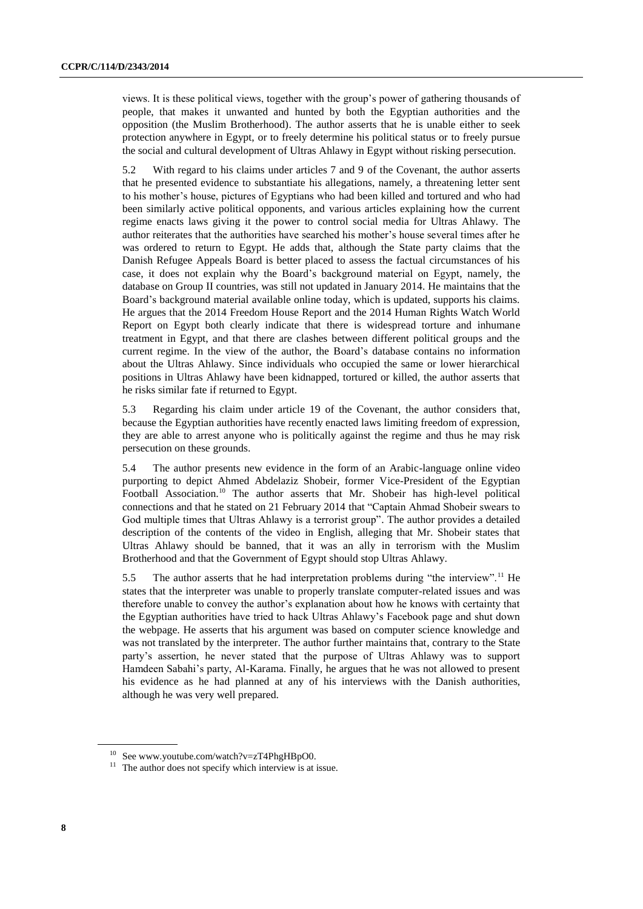views. It is these political views, together with the group's power of gathering thousands of people, that makes it unwanted and hunted by both the Egyptian authorities and the opposition (the Muslim Brotherhood). The author asserts that he is unable either to seek protection anywhere in Egypt, or to freely determine his political status or to freely pursue the social and cultural development of Ultras Ahlawy in Egypt without risking persecution.

5.2 With regard to his claims under articles 7 and 9 of the Covenant, the author asserts that he presented evidence to substantiate his allegations, namely, a threatening letter sent to his mother's house, pictures of Egyptians who had been killed and tortured and who had been similarly active political opponents, and various articles explaining how the current regime enacts laws giving it the power to control social media for Ultras Ahlawy. The author reiterates that the authorities have searched his mother's house several times after he was ordered to return to Egypt. He adds that, although the State party claims that the Danish Refugee Appeals Board is better placed to assess the factual circumstances of his case, it does not explain why the Board's background material on Egypt, namely, the database on Group II countries, was still not updated in January 2014. He maintains that the Board's background material available online today, which is updated, supports his claims. He argues that the 2014 Freedom House Report and the 2014 Human Rights Watch World Report on Egypt both clearly indicate that there is widespread torture and inhumane treatment in Egypt, and that there are clashes between different political groups and the current regime. In the view of the author, the Board's database contains no information about the Ultras Ahlawy. Since individuals who occupied the same or lower hierarchical positions in Ultras Ahlawy have been kidnapped, tortured or killed, the author asserts that he risks similar fate if returned to Egypt.

5.3 Regarding his claim under article 19 of the Covenant, the author considers that, because the Egyptian authorities have recently enacted laws limiting freedom of expression, they are able to arrest anyone who is politically against the regime and thus he may risk persecution on these grounds.

5.4 The author presents new evidence in the form of an Arabic-language online video purporting to depict Ahmed Abdelaziz Shobeir, former Vice-President of the Egyptian Football Association.<sup>10</sup> The author asserts that Mr. Shobeir has high-level political connections and that he stated on 21 February 2014 that "Captain Ahmad Shobeir swears to God multiple times that Ultras Ahlawy is a terrorist group". The author provides a detailed description of the contents of the video in English, alleging that Mr. Shobeir states that Ultras Ahlawy should be banned, that it was an ally in terrorism with the Muslim Brotherhood and that the Government of Egypt should stop Ultras Ahlawy.

5.5 The author asserts that he had interpretation problems during "the interview".<sup>11</sup> He states that the interpreter was unable to properly translate computer-related issues and was therefore unable to convey the author's explanation about how he knows with certainty that the Egyptian authorities have tried to hack Ultras Ahlawy's Facebook page and shut down the webpage. He asserts that his argument was based on computer science knowledge and was not translated by the interpreter. The author further maintains that, contrary to the State party's assertion, he never stated that the purpose of Ultras Ahlawy was to support Hamdeen Sabahi's party, Al-Karama. Finally, he argues that he was not allowed to present his evidence as he had planned at any of his interviews with the Danish authorities, although he was very well prepared.

<sup>&</sup>lt;sup>10</sup> See www.youtube.com/watch?v=zT4PhgHBpO0.

 $11$  The author does not specify which interview is at issue.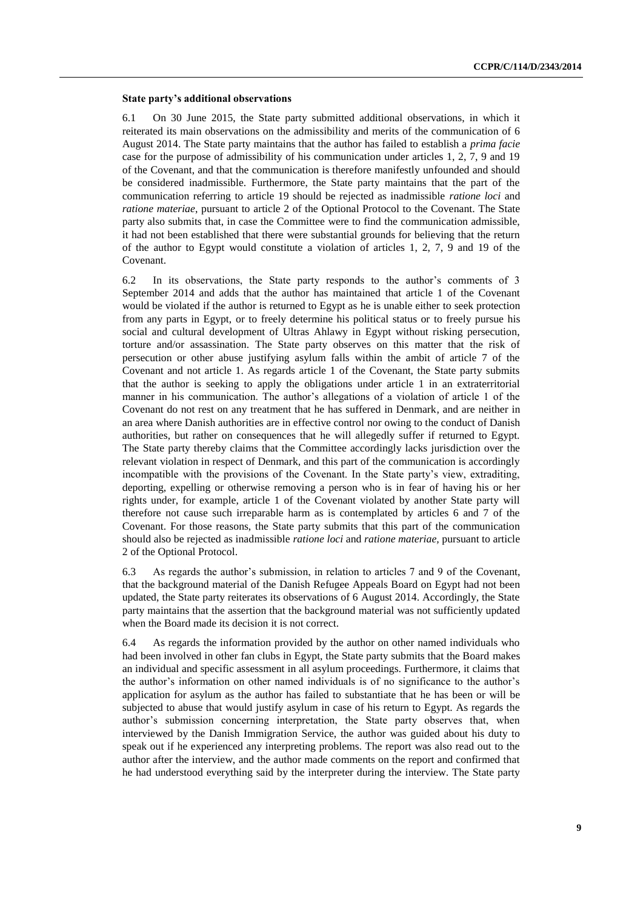#### **State party's additional observations**

6.1 On 30 June 2015, the State party submitted additional observations, in which it reiterated its main observations on the admissibility and merits of the communication of 6 August 2014. The State party maintains that the author has failed to establish a *prima facie* case for the purpose of admissibility of his communication under articles 1, 2, 7, 9 and 19 of the Covenant, and that the communication is therefore manifestly unfounded and should be considered inadmissible. Furthermore, the State party maintains that the part of the communication referring to article 19 should be rejected as inadmissible *ratione loci* and *ratione materiae*, pursuant to article 2 of the Optional Protocol to the Covenant. The State party also submits that, in case the Committee were to find the communication admissible, it had not been established that there were substantial grounds for believing that the return of the author to Egypt would constitute a violation of articles 1, 2, 7, 9 and 19 of the Covenant.

6.2 In its observations, the State party responds to the author's comments of 3 September 2014 and adds that the author has maintained that article 1 of the Covenant would be violated if the author is returned to Egypt as he is unable either to seek protection from any parts in Egypt, or to freely determine his political status or to freely pursue his social and cultural development of Ultras Ahlawy in Egypt without risking persecution, torture and/or assassination. The State party observes on this matter that the risk of persecution or other abuse justifying asylum falls within the ambit of article 7 of the Covenant and not article 1. As regards article 1 of the Covenant, the State party submits that the author is seeking to apply the obligations under article 1 in an extraterritorial manner in his communication. The author's allegations of a violation of article 1 of the Covenant do not rest on any treatment that he has suffered in Denmark, and are neither in an area where Danish authorities are in effective control nor owing to the conduct of Danish authorities, but rather on consequences that he will allegedly suffer if returned to Egypt. The State party thereby claims that the Committee accordingly lacks jurisdiction over the relevant violation in respect of Denmark, and this part of the communication is accordingly incompatible with the provisions of the Covenant. In the State party's view, extraditing, deporting, expelling or otherwise removing a person who is in fear of having his or her rights under, for example, article 1 of the Covenant violated by another State party will therefore not cause such irreparable harm as is contemplated by articles 6 and 7 of the Covenant. For those reasons, the State party submits that this part of the communication should also be rejected as inadmissible *ratione loci* and *ratione materiae,* pursuant to article 2 of the Optional Protocol.

6.3 As regards the author's submission, in relation to articles 7 and 9 of the Covenant, that the background material of the Danish Refugee Appeals Board on Egypt had not been updated, the State party reiterates its observations of 6 August 2014. Accordingly, the State party maintains that the assertion that the background material was not sufficiently updated when the Board made its decision it is not correct.

6.4 As regards the information provided by the author on other named individuals who had been involved in other fan clubs in Egypt, the State party submits that the Board makes an individual and specific assessment in all asylum proceedings. Furthermore, it claims that the author's information on other named individuals is of no significance to the author's application for asylum as the author has failed to substantiate that he has been or will be subjected to abuse that would justify asylum in case of his return to Egypt. As regards the author's submission concerning interpretation, the State party observes that, when interviewed by the Danish Immigration Service, the author was guided about his duty to speak out if he experienced any interpreting problems. The report was also read out to the author after the interview, and the author made comments on the report and confirmed that he had understood everything said by the interpreter during the interview. The State party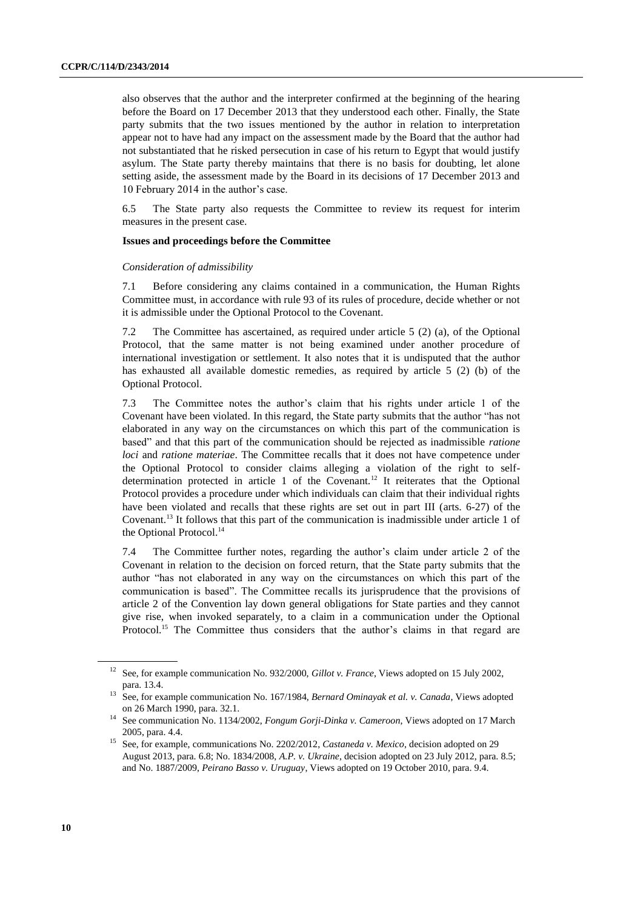also observes that the author and the interpreter confirmed at the beginning of the hearing before the Board on 17 December 2013 that they understood each other. Finally, the State party submits that the two issues mentioned by the author in relation to interpretation appear not to have had any impact on the assessment made by the Board that the author had not substantiated that he risked persecution in case of his return to Egypt that would justify asylum. The State party thereby maintains that there is no basis for doubting, let alone setting aside, the assessment made by the Board in its decisions of 17 December 2013 and 10 February 2014 in the author's case.

6.5 The State party also requests the Committee to review its request for interim measures in the present case.

#### **Issues and proceedings before the Committee**

#### *Consideration of admissibility*

7.1 Before considering any claims contained in a communication, the Human Rights Committee must, in accordance with rule 93 of its rules of procedure, decide whether or not it is admissible under the Optional Protocol to the Covenant.

7.2 The Committee has ascertained, as required under article 5 (2) (a), of the Optional Protocol, that the same matter is not being examined under another procedure of international investigation or settlement. It also notes that it is undisputed that the author has exhausted all available domestic remedies, as required by article 5 (2) (b) of the Optional Protocol.

7.3 The Committee notes the author's claim that his rights under article 1 of the Covenant have been violated. In this regard, the State party submits that the author "has not elaborated in any way on the circumstances on which this part of the communication is based" and that this part of the communication should be rejected as inadmissible *ratione loci* and *ratione materiae*. The Committee recalls that it does not have competence under the Optional Protocol to consider claims alleging a violation of the right to selfdetermination protected in article 1 of the Covenant.<sup>12</sup> It reiterates that the Optional Protocol provides a procedure under which individuals can claim that their individual rights have been violated and recalls that these rights are set out in part III (arts. 6-27) of the Covenant. <sup>13</sup> It follows that this part of the communication is inadmissible under article 1 of the Optional Protocol.<sup>14</sup>

7.4 The Committee further notes, regarding the author's claim under article 2 of the Covenant in relation to the decision on forced return, that the State party submits that the author "has not elaborated in any way on the circumstances on which this part of the communication is based". The Committee recalls its jurisprudence that the provisions of article 2 of the Convention lay down general obligations for State parties and they cannot give rise, when invoked separately, to a claim in a communication under the Optional Protocol.<sup>15</sup> The Committee thus considers that the author's claims in that regard are

<sup>12</sup> See, for example communication No. 932/2000, *Gillot v. France*, Views adopted on 15 July 2002, para. 13.4.

<sup>&</sup>lt;sup>13</sup> See, for example communication No. 167/1984, *Bernard Ominayak et al. v. Canada*, Views adopted on 26 March 1990, para. 32.1.

<sup>14</sup> See communication No. 1134/2002, *Fongum Gorji-Dinka v. Cameroon*, Views adopted on 17 March 2005, para. 4.4.

<sup>&</sup>lt;sup>15</sup> See, for example, communications No. 2202/2012, *Castaneda v. Mexico*, decision adopted on 29 August 2013, para. 6.8; No. 1834/2008, *A.P. v. Ukraine*, decision adopted on 23 July 2012, para. 8.5; and No. 1887/2009, *Peirano Basso v. Uruguay*, Views adopted on 19 October 2010, para. 9.4.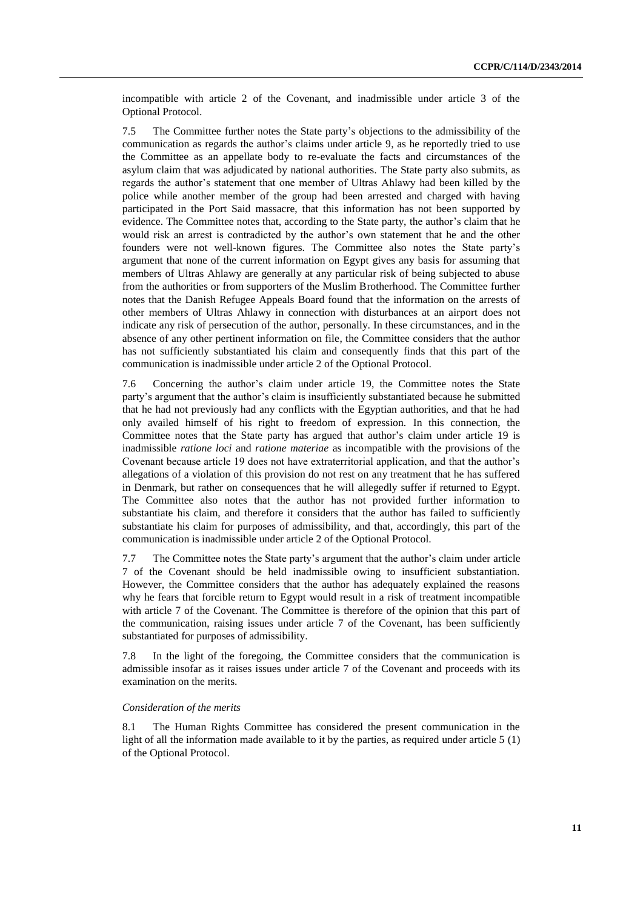incompatible with article 2 of the Covenant, and inadmissible under article 3 of the Optional Protocol.

7.5 The Committee further notes the State party's objections to the admissibility of the communication as regards the author's claims under article 9, as he reportedly tried to use the Committee as an appellate body to re-evaluate the facts and circumstances of the asylum claim that was adjudicated by national authorities. The State party also submits, as regards the author's statement that one member of Ultras Ahlawy had been killed by the police while another member of the group had been arrested and charged with having participated in the Port Said massacre, that this information has not been supported by evidence. The Committee notes that, according to the State party, the author's claim that he would risk an arrest is contradicted by the author's own statement that he and the other founders were not well-known figures. The Committee also notes the State party's argument that none of the current information on Egypt gives any basis for assuming that members of Ultras Ahlawy are generally at any particular risk of being subjected to abuse from the authorities or from supporters of the Muslim Brotherhood. The Committee further notes that the Danish Refugee Appeals Board found that the information on the arrests of other members of Ultras Ahlawy in connection with disturbances at an airport does not indicate any risk of persecution of the author, personally. In these circumstances, and in the absence of any other pertinent information on file, the Committee considers that the author has not sufficiently substantiated his claim and consequently finds that this part of the communication is inadmissible under article 2 of the Optional Protocol.

7.6 Concerning the author's claim under article 19, the Committee notes the State party's argument that the author's claim is insufficiently substantiated because he submitted that he had not previously had any conflicts with the Egyptian authorities, and that he had only availed himself of his right to freedom of expression. In this connection, the Committee notes that the State party has argued that author's claim under article 19 is inadmissible *ratione loci* and *ratione materiae* as incompatible with the provisions of the Covenant because article 19 does not have extraterritorial application, and that the author's allegations of a violation of this provision do not rest on any treatment that he has suffered in Denmark, but rather on consequences that he will allegedly suffer if returned to Egypt. The Committee also notes that the author has not provided further information to substantiate his claim, and therefore it considers that the author has failed to sufficiently substantiate his claim for purposes of admissibility, and that, accordingly, this part of the communication is inadmissible under article 2 of the Optional Protocol.

7.7 The Committee notes the State party's argument that the author's claim under article 7 of the Covenant should be held inadmissible owing to insufficient substantiation. However, the Committee considers that the author has adequately explained the reasons why he fears that forcible return to Egypt would result in a risk of treatment incompatible with article 7 of the Covenant. The Committee is therefore of the opinion that this part of the communication, raising issues under article 7 of the Covenant, has been sufficiently substantiated for purposes of admissibility.

7.8 In the light of the foregoing, the Committee considers that the communication is admissible insofar as it raises issues under article 7 of the Covenant and proceeds with its examination on the merits.

#### *Consideration of the merits*

8.1 The Human Rights Committee has considered the present communication in the light of all the information made available to it by the parties, as required under article 5 (1) of the Optional Protocol.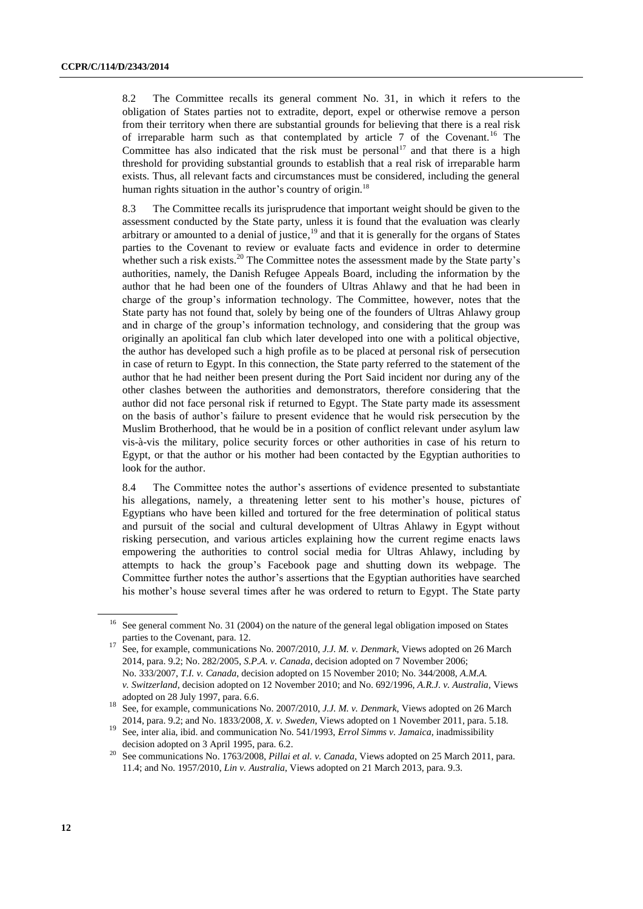8.2 The Committee recalls its general comment No. 31, in which it refers to the obligation of States parties not to extradite, deport, expel or otherwise remove a person from their territory when there are substantial grounds for believing that there is a real risk of irreparable harm such as that contemplated by article  $7$  of the Covenant.<sup>16</sup> The Committee has also indicated that the risk must be personal<sup>17</sup> and that there is a high threshold for providing substantial grounds to establish that a real risk of irreparable harm exists. Thus, all relevant facts and circumstances must be considered, including the general human rights situation in the author's country of origin.<sup>18</sup>

8.3 The Committee recalls its jurisprudence that important weight should be given to the assessment conducted by the State party, unless it is found that the evaluation was clearly arbitrary or amounted to a denial of justice,<sup>19</sup> and that it is generally for the organs of States parties to the Covenant to review or evaluate facts and evidence in order to determine whether such a risk exists.<sup>20</sup> The Committee notes the assessment made by the State party's authorities, namely, the Danish Refugee Appeals Board, including the information by the author that he had been one of the founders of Ultras Ahlawy and that he had been in charge of the group's information technology. The Committee, however, notes that the State party has not found that, solely by being one of the founders of Ultras Ahlawy group and in charge of the group's information technology, and considering that the group was originally an apolitical fan club which later developed into one with a political objective, the author has developed such a high profile as to be placed at personal risk of persecution in case of return to Egypt. In this connection, the State party referred to the statement of the author that he had neither been present during the Port Said incident nor during any of the other clashes between the authorities and demonstrators, therefore considering that the author did not face personal risk if returned to Egypt. The State party made its assessment on the basis of author's failure to present evidence that he would risk persecution by the Muslim Brotherhood, that he would be in a position of conflict relevant under asylum law vis-à-vis the military, police security forces or other authorities in case of his return to Egypt, or that the author or his mother had been contacted by the Egyptian authorities to look for the author.

8.4 The Committee notes the author's assertions of evidence presented to substantiate his allegations, namely, a threatening letter sent to his mother's house, pictures of Egyptians who have been killed and tortured for the free determination of political status and pursuit of the social and cultural development of Ultras Ahlawy in Egypt without risking persecution, and various articles explaining how the current regime enacts laws empowering the authorities to control social media for Ultras Ahlawy, including by attempts to hack the group's Facebook page and shutting down its webpage. The Committee further notes the author's assertions that the Egyptian authorities have searched his mother's house several times after he was ordered to return to Egypt. The State party

<sup>&</sup>lt;sup>16</sup> See general comment No. 31 (2004) on the nature of the general legal obligation imposed on States parties to the Covenant, para. 12.

<sup>17</sup> See, for example, communications No. 2007/2010, *J.J. M. v. Denmark*, Views adopted on 26 March 2014, para. 9.2; No. 282/2005, *S.P.A. v. Canada*, decision adopted on 7 November 2006; No. 333/2007, *T.I. v. Canada*, decision adopted on 15 November 2010; No. 344/2008, *A.M.A. v. Switzerland*, decision adopted on 12 November 2010; and No. 692/1996, *A.R.J. v. Australia,* Views adopted on 28 July 1997, para. 6.6.

<sup>18</sup> See, for example, communications No. 2007/2010, *J.J. M. v. Denmark*, Views adopted on 26 March 2014, para. 9.2; and No. 1833/2008*, X. v. Sweden*, Views adopted on 1 November 2011, para. 5.18.

<sup>19</sup> See, inter alia, ibid. and communication No. 541/1993, *Errol Simms v. Jamaica*, inadmissibility decision adopted on 3 April 1995, para. 6.2.

<sup>20</sup> See communications No. 1763/2008, *Pillai et al. v. Canada*, Views adopted on 25 March 2011, para. 11.4; and No. 1957/2010, *Lin v. Australia*, Views adopted on 21 March 2013, para. 9.3.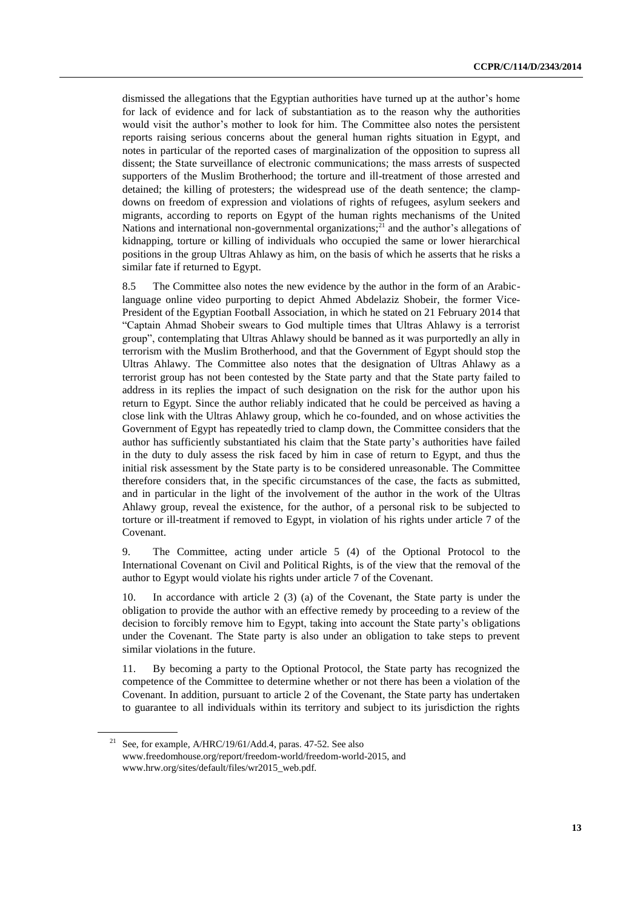dismissed the allegations that the Egyptian authorities have turned up at the author's home for lack of evidence and for lack of substantiation as to the reason why the authorities would visit the author's mother to look for him. The Committee also notes the persistent reports raising serious concerns about the general human rights situation in Egypt, and notes in particular of the reported cases of marginalization of the opposition to supress all dissent; the State surveillance of electronic communications; the mass arrests of suspected supporters of the Muslim Brotherhood; the torture and ill-treatment of those arrested and detained; the killing of protesters; the widespread use of the death sentence; the clampdowns on freedom of expression and violations of rights of refugees, asylum seekers and migrants, according to reports on Egypt of the human rights mechanisms of the United Nations and international non-governmental organizations;<sup>21</sup> and the author's allegations of kidnapping, torture or killing of individuals who occupied the same or lower hierarchical positions in the group Ultras Ahlawy as him, on the basis of which he asserts that he risks a similar fate if returned to Egypt.

8.5 The Committee also notes the new evidence by the author in the form of an Arabiclanguage online video purporting to depict Ahmed Abdelaziz Shobeir, the former Vice-President of the Egyptian Football Association, in which he stated on 21 February 2014 that "Captain Ahmad Shobeir swears to God multiple times that Ultras Ahlawy is a terrorist group", contemplating that Ultras Ahlawy should be banned as it was purportedly an ally in terrorism with the Muslim Brotherhood, and that the Government of Egypt should stop the Ultras Ahlawy. The Committee also notes that the designation of Ultras Ahlawy as a terrorist group has not been contested by the State party and that the State party failed to address in its replies the impact of such designation on the risk for the author upon his return to Egypt. Since the author reliably indicated that he could be perceived as having a close link with the Ultras Ahlawy group, which he co-founded, and on whose activities the Government of Egypt has repeatedly tried to clamp down, the Committee considers that the author has sufficiently substantiated his claim that the State party's authorities have failed in the duty to duly assess the risk faced by him in case of return to Egypt, and thus the initial risk assessment by the State party is to be considered unreasonable. The Committee therefore considers that, in the specific circumstances of the case, the facts as submitted, and in particular in the light of the involvement of the author in the work of the Ultras Ahlawy group, reveal the existence, for the author, of a personal risk to be subjected to torture or ill-treatment if removed to Egypt, in violation of his rights under article 7 of the Covenant.

9. The Committee, acting under article 5 (4) of the Optional Protocol to the International Covenant on Civil and Political Rights, is of the view that the removal of the author to Egypt would violate his rights under article 7 of the Covenant.

10. In accordance with article 2 (3) (a) of the Covenant, the State party is under the obligation to provide the author with an effective remedy by proceeding to a review of the decision to forcibly remove him to Egypt, taking into account the State party's obligations under the Covenant. The State party is also under an obligation to take steps to prevent similar violations in the future.

11. By becoming a party to the Optional Protocol, the State party has recognized the competence of the Committee to determine whether or not there has been a violation of the Covenant. In addition, pursuant to article 2 of the Covenant, the State party has undertaken to guarantee to all individuals within its territory and subject to its jurisdiction the rights

<sup>&</sup>lt;sup>21</sup> See, for example,  $A/HRC/19/61/Add.4$ , paras. 47-52. See also [www.freedomhouse.org/report/freedom-world/freedom-world-2015,](http://www.freedomhouse.org/report/freedom-world/freedom-world-2015) and www.hrw.org/sites/default/files/wr2015\_web.pdf.